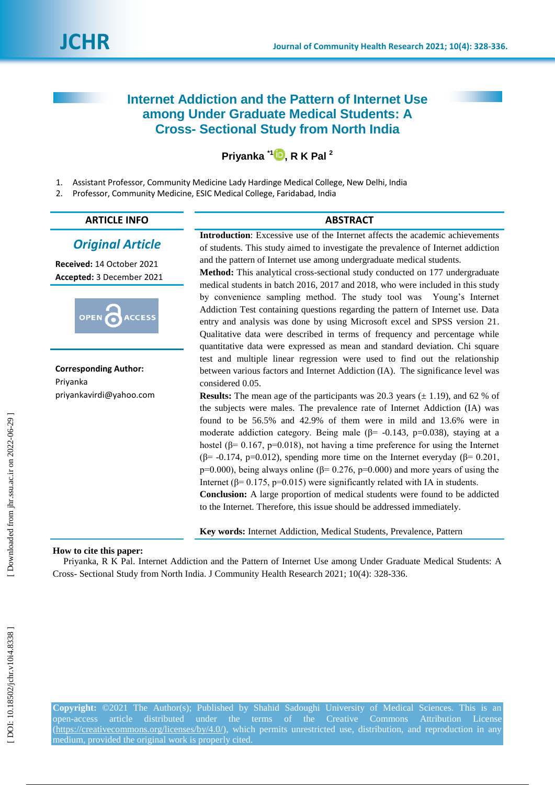# **Internet Addiction and the Pattern of Internet Use among Under Graduate Medical Students: A Cross - Sectional Study from North India**

# **Priyanka \*1 [,](https://orcid.org/0000 0002 9424 3091) R K Pal 2**

1 . Assistant Professor, Community Medicine Lady Hardinge Medical College, New Delhi, India

 $\overline{2}$ . Professor, Community Medicine, ESIC Medical College, Faridabad, India

## **ARTICLE INFO ABSTRACT**

## *Original Article*

**Received:**  1 4 October 2021 **Accepted:** 3 December 2021



**Corresponding Author:** Priyanka [priyankavirdi@yahoo.com](mailto:priyankavirdi@yahoo.com)

**Introduction**: Excessive use of the Internet affects the academic achievements of students. This study aimed to investigate the prevalence of Internet addiction and the pattern of Internet use among undergraduate medical students. **Method:** This analytical cross -sectional study conducted on 177 undergraduate

medical students in batch 2016, 2017 and 2018, who were included in this study by convenience sampling method. The study tool was Young's Internet Addiction Test containing questions regarding the pattern of Internet use. Data entry and analysis was done by using Microsoft excel and SPSS version 21. Qualitative data were described in terms of frequency and percentage while quantitative data were expressed as mean and standard deviation. Chi square test and multiple linear regression were used to find out the relationship between various factors and Internet Addiction (IA). The significance level was considered 0.05.

**Results:** The mean age of the participants was 20.3 years  $(\pm 1.19)$ , and 62 % of the subjects were males. The prevalence rate of Internet Addiction (IA) was found to be 56.5% and 42.9% of them were in mild and 13.6% were in moderate addiction category. Being male  $(\beta = -0.143, p=0.038)$ , staying at a hostel ( $\beta$ = 0.167, p=0.018), not having a time preference for using the Internet ( $\beta$ = -0.174, p=0.012), spending more time on the Internet everyday ( $\beta$ = 0.201, p=0.000), being always online ( $\beta$ = 0.276, p=0.000) and more years of using the Internet ( $\beta$ = 0.175, p=0.015) were significantly related with IA in students. **Conclusion:** A large proportion of medical students were found to be addicted to the Internet. Therefore, this issue should be addressed immediately.

**Key words:** Internet Addiction, Medical Students, Prevalence, Pattern

## **How to cite this paper:**

Priyanka, R K Pal. Internet Addiction and the Pattern of Internet Use among Under Graduate Medical Students: A Cross - Sectional Study from North India. J Community Health Research 2021; 10(4): 328 -336 .

**Copyright:** ©2021 The Author(s); Published by Shahid Sadoughi University of Medical Sciences. This is an open-access article distributed under the terms of the Creative Commons Attribution License (https://creativecommons.org/licenses/by/4.0/), which permits unrestricted use, distribution, and reproduction in any medium, provided the original work is properly cited.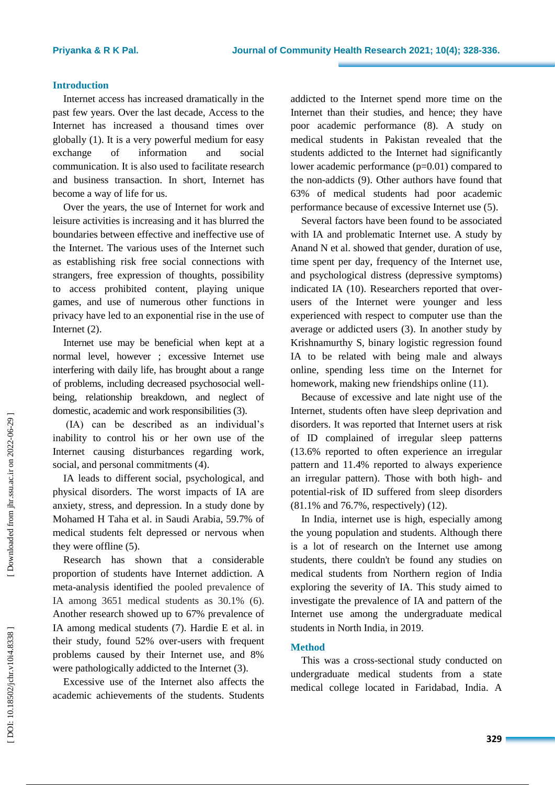#### **Introduction**

Internet access has increased dramatically in the past few years. Over the last decade, Access to the Internet has increased a thousand times over globally (1). It is a very powerful medium for easy exchange of information and social communication. It is also used to facilitate research and business transaction. In short, Internet has become a way of life for us.

Over the years, the use of Internet for work and leisure activities is increasing and it has blurred the boundaries between effective and ineffective use of the Internet. The various uses of the Internet such as establishing risk free social connections with strangers, free expression of thoughts, possibility to access prohibited content, playing unique games, and use of numerous other functions in privacy have led to an exponential rise in the use of Internet (2) .

Internet use may be beneficial when kept at a normal level, however ; excessive Internet use interfering with daily life , has brought about a range of problems, including decreased psychosocial well being, relationship breakdown , and neglect of domestic, academic and work responsibilities (3).

(IA) can be described as an individual's inability to control his or her own use of the Internet causing disturbances regarding work, social, and personal commitments (4).

IA leads to different social, psychological, and physical disorders. The worst impacts of IA are anxiety, stress, and depression. In a study done by Mohamed H Taha et al . in Saudi Arabia, 59.7% of medical students felt depressed or nervous when they were offline (5).

Research has shown that a considerable proportion of students have Internet addiction. A meta -analysis identified the pooled prevalence of IA among 3651 medical students as 30.1% (6). Another research showed up to 67% prevalence of IA among medical students (7). Hardie E et al. in their study, found 52% over -users with frequent problems caused by their Internet use , and 8% were pathologically addicted to the Internet ( 3).

Excessive use of the Internet also affects the academic achievements of the students. Students addicted to the Internet spend more time on the Internet than their studies, and hence; they have poor academic performance (8). A study on medical students in Pakistan revealed that the students addicted to the Internet had significantly lower academic performance (p=0.01) compared to the non -addicts (9). Other authors have found that 63% of medical students had poor academic performance because of excessive Internet use (5).

Several factor s have been found to be associated with IA and problematic Internet use. A study by Anand N et al . showed that gender, duration of use, time spent per day, frequency of the Internet use, and psychological distress (depressive symptoms) indicated IA (10). Researchers reported that overusers of the Internet were younger and less experienced with respect to computer use than the average or addicted users (3). In another study by Krishnamurthy S, binary logistic regression found IA to be related with being male and always online, spending less time on the Internet for homework, making new friendships online (11).

Because of excessive and late night use of the Internet, students often have sleep deprivation and disorders. It was reported that Internet users at risk of ID complained of irregular sleep patterns (13.6% reported to often experience an irregular pattern and 11.4% reported to always experience an irregular pattern). Those with both high- and potential -risk of ID suffered from sleep disorders (81.1% and 76.7%, respectively) (12).

In India, internet use is high, especially among the young population and students. Although there is a lot of research on the Internet use among students, there couldn't be found any studies on medical students from Northern region of India exploring the severity of I A. This study aimed to investigate the prevalence of I A and pattern of the Internet use among the undergraduate medical students in North India , in 2019.

## **Method**

This was a cross -sectional study conducted on u ndergraduate medical students from a state medical college located in Faridabad, India. A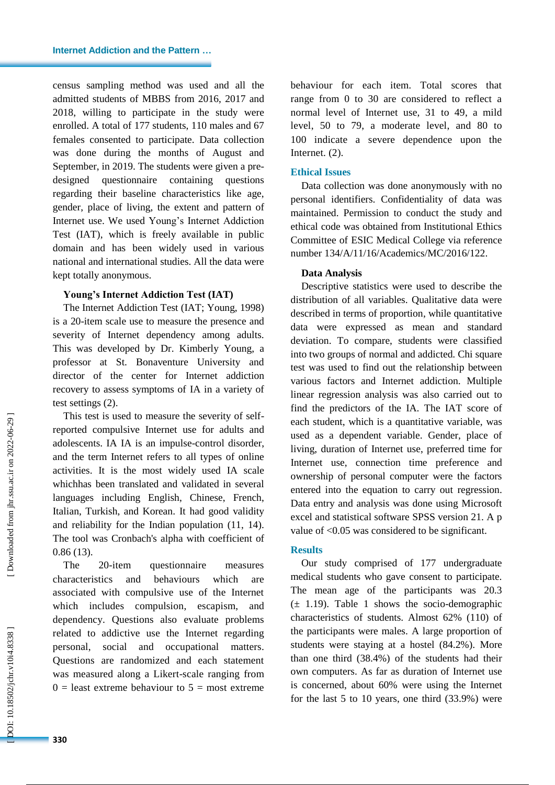census sampling method was used and all the admitted students of MBBS from 2016, 2017 and 2018, willing to participate in the study were enrolled. A total of 177 students, 110 males and 67 females consented to participate. Data collection was done during the months of August and September, in 2019. The students were given a pre designed questionnaire containing questions regarding their baseline characteristics like age, gender, place of living, the extent and pattern of Internet use. We use d Young's Internet Addiction Test (IAT), which is freely available in public domain and has been widely used in various national and international studies. All the data were kept totally anonymous.

## **Young's Internet Addiction Test (IAT)**

The Internet Addiction Test (IAT; Young, 1998) is a 20 -item scale use to measure the presence and severity of Internet dependency among adults. This was developed by Dr. Kimberly Young, a professor at St. Bonaventure University and director of the center for Internet addiction recovery to assess symptoms of IA in a variety of test settings (2).

This test is used to measure the severity of self reported compulsive Internet use for adults and adolescents. IA IA is an impulse -control disorder , and the term Internet refers to all types of online activities. It is the most widely used IA scale whichhas been translated and validated in several languages including English, Chinese, French, Italian, Turkish, and Korean. It had good validity and reliability for the Indian population (11, 14). The tool was Cronbach's alpha with coefficient of 0.86 (13).

The 20-item questionnaire measures characteristics and behaviours which are associated with compulsive use of the Internet which include s compulsion, escapism, and dependency. Questions also evaluate problems related to addictive use the Internet regarding personal, social and occupational matters . Questions are randomized and each statement was measured along a Likert -scale ranging from  $0 =$  least extreme behaviour to  $5 =$  most extreme

behavio ur for each item. Total scores that range from 0 to 30 are considered to reflect a normal level of Internet use , 31 to 49, a mild level, 50 to 79, a moderate level, and 80 to 100 indicate a severe dependence upon the Internet . (2).

## **Ethical Issues**

Data collection was done anonymously with no personal identifiers. Confidentiality of data was maintained. Permission to conduct the study and ethical code was obtained from Institutional Ethics Committee of ESIC Medical College via reference number 134/A/11/16/Academics/MC/2016/122 .

## **Data Analysis**

Descriptive statistics were used to describe the distribution of all variables. Qualitative data were described in terms of proportion , while quantitative data were expressed as mean and standard deviation . To compare, students were classified into two groups of normal and addicted. Chi square test was used to find out the relationship between various factors and Internet addiction. Multiple linear regression analysis was also carried out to find the predictors of the IA. The IAT score of each student, which is a quantitative variable, was used as a dependent variable. Gender, place of living, duration of Internet use, preferred time for Internet use, connection time preference and ownership of personal computer were the factors entered into the equation to carry out regression. Data entry and analysis was done using Microsoft excel and statistical software SPSS version 21. A p val ue of <0.05 was considered to be significant.

## **Results**

Our study comprised of 177 undergraduate medical students who gave consent to participate. The mean age of the participants was 20.3 (± 1.19). Table 1 shows the socio -demographic characteristics of students. Almost 62% (110 ) of the participants were males. A large proportion of students were staying at a hostel (84.2%). More than one third (38.4%) of the students had their own computers. As far as duration of Internet use is concerned, about 60% were using the Internet for the last 5 to 10 years, one third (33. 9%) were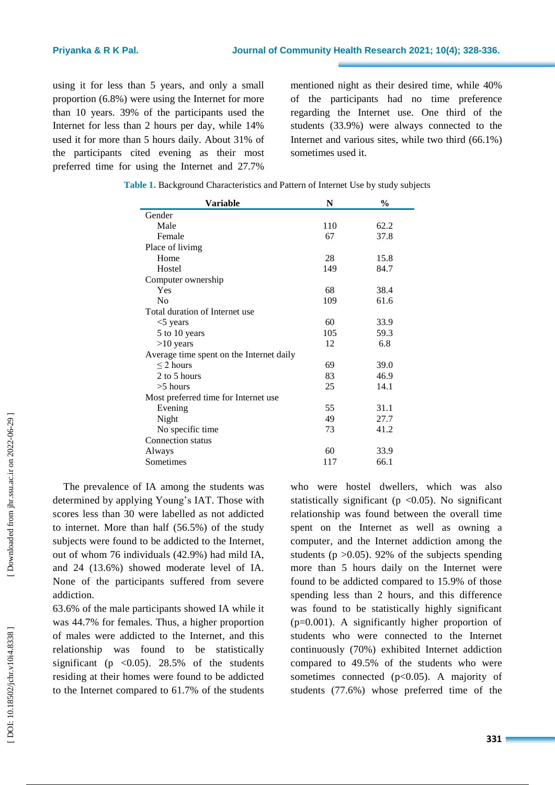using it for less than 5 years , and only a small proportion (6.8%) were using the Internet for more than 10 years. 39% of the participants used the Internet for less than 2 hours per day , while 14% used it for more than 5 hours daily. About 31% of the participants cited evening as their most preferred time for using the Internet and 27.7%

mentioned night as their desired time, while 40% of the participants had no time preference regarding the Internet use. One third of the students (33.9%) were always connected to the Internet and various sites , while two third (66.1%) sometimes used it.

| Variable                                 | N   | $\frac{0}{0}$ |
|------------------------------------------|-----|---------------|
| Gender                                   |     |               |
| Male                                     | 110 | 62.2          |
| Female                                   | 67  | 37.8          |
| Place of livimg                          |     |               |
| Home                                     | 28  | 15.8          |
| Hostel                                   | 149 | 84.7          |
| Computer ownership                       |     |               |
| Yes                                      | 68  | 38.4          |
| No                                       | 109 | 61.6          |
| Total duration of Internet use           |     |               |
| $<$ 5 years                              | 60  | 33.9          |
| 5 to 10 years                            | 105 | 59.3          |
| $>10$ years                              | 12  | 6.8           |
| Average time spent on the Internet daily |     |               |
| $\leq$ 2 hours                           | 69  | 39.0          |
| 2 to 5 hours                             | 83  | 46.9          |
| $>5$ hours                               | 25  | 14.1          |
| Most preferred time for Internet use     |     |               |
| Evening                                  | 55  | 31.1          |
| Night                                    | 49  | 27.7          |
| No specific time                         | 73  | 41.2          |
| Connection status                        |     |               |
| Always                                   | 60  | 33.9          |
| Sometimes                                | 117 | 66.1          |

| Table 1. Background Characteristics and Pattern of Internet Use by study subjects |  |
|-----------------------------------------------------------------------------------|--|
|-----------------------------------------------------------------------------------|--|

The prevalence of I A among the students was determined by applying Young's I A T. Those with scores less than 30 were labelled as not addicted to internet. More than half (56.5%) of the study subjects were found to be addicted to the Internet, out of whom 76 individuals (42.9%) ha d mild IA , and 24 (13.6%) showed moderate level of IA. None of the participants suffered from severe addiction.

63.6% of the male participants showed IA while it was 44.7% for female s. Thus, a higher proportion of males were addicted to the Internet , and this relationship was found to be statistically significant (p  $\langle 0.05 \rangle$ ). 28.5% of the students residing at their homes were found to be addicted to the Internet compared to 61.7% of the students

who were hostel dwellers , which was also statistically significant ( $p \le 0.05$ ). No significant relationship was found between the overall time spent on the Internet as well as owning a computer , and the Internet addiction among the students ( $p > 0.05$ ). 92% of the subjects spending more than 5 hours daily on the Internet were found to be addicted compared to 15.9% of those spending less than 2 hours , and this difference was found to be statistically highly significant (p=0.001). A significantly higher proportion of students who were connected to the Internet continuously (70%) exhibited Internet addiction compared to 49.5% of the students who were sometimes connected (p<0.05). A majority of students (77.6%) whose preferred time of the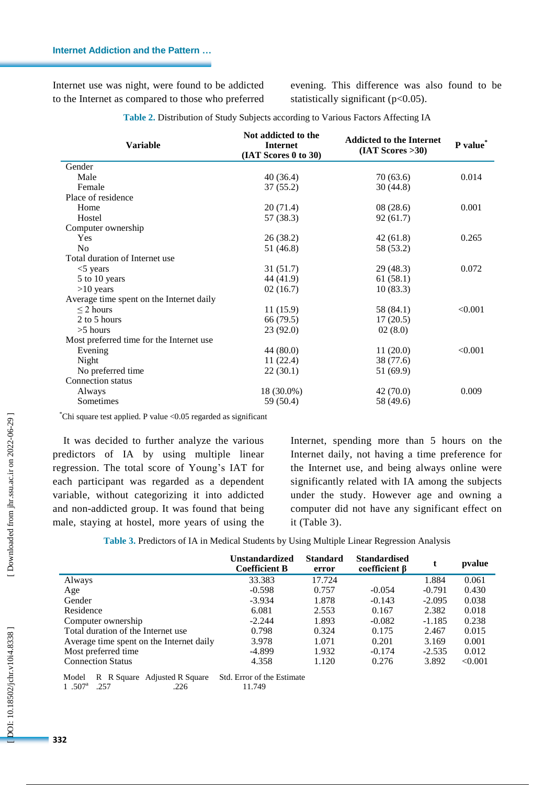Internet use was night, were found to be addicted to the Internet as compared to those who preferred evening. This difference was also found to be statistically significant ( $p<0.05$ ).

| <b>Variable</b>                          | Not addicted to the<br><b>Internet</b><br>(IAT Scores 0 to 30) | <b>Addicted to the Internet</b><br>$(IAT$ Scores >30) | P value* |
|------------------------------------------|----------------------------------------------------------------|-------------------------------------------------------|----------|
| Gender                                   |                                                                |                                                       |          |
| Male                                     | 40(36.4)                                                       | 70 (63.6)                                             | 0.014    |
| Female                                   | 37(55.2)                                                       | 30(44.8)                                              |          |
| Place of residence                       |                                                                |                                                       |          |
| Home                                     | 20(71.4)                                                       | 08(28.6)                                              | 0.001    |
| Hostel                                   | 57 (38.3)                                                      | 92(61.7)                                              |          |
| Computer ownership                       |                                                                |                                                       |          |
| Yes                                      | 26(38.2)                                                       | 42(61.8)                                              | 0.265    |
| N <sub>o</sub>                           | 51 (46.8)                                                      | 58 (53.2)                                             |          |
| Total duration of Internet use           |                                                                |                                                       |          |
| $<$ 5 years                              | 31 (51.7)                                                      | 29 (48.3)                                             | 0.072    |
| 5 to 10 years                            | 44 (41.9)                                                      | 61 (58.1)                                             |          |
| $>10$ years                              | 02(16.7)                                                       | 10(83.3)                                              |          |
| Average time spent on the Internet daily |                                                                |                                                       |          |
| $\leq$ 2 hours                           | 11(15.9)                                                       | 58 (84.1)                                             | < 0.001  |
| 2 to 5 hours                             | 66 (79.5)                                                      | 17(20.5)                                              |          |
| $>5$ hours                               | 23 (92.0)                                                      | 02(8.0)                                               |          |
| Most preferred time for the Internet use |                                                                |                                                       |          |
| Evening                                  | 44(80.0)                                                       | 11(20.0)                                              | < 0.001  |
| Night                                    | 11(22.4)                                                       | 38 (77.6)                                             |          |
| No preferred time                        | 22(30.1)                                                       | 51 (69.9)                                             |          |
| Connection status                        |                                                                |                                                       |          |
| Always                                   | 18 (30.0%)                                                     | 42 (70.0)                                             | 0.009    |
| Sometimes                                | 59 (50.4)                                                      | 58 (49.6)                                             |          |

**Table 2 .** Distribution of Study Subjects according to Various Factors Affecting IA

\*Chi square test applied. P value <0.05 regarded as significant

It was decided to further analyze the various predictors of IA by using multiple linear regression. The total score of Young's IAT for each participant was regarded as a dependent variable, without categorizing it into addicted and non -addicted group. It was found that being male, staying at hostel, more years of using the

Internet, spending more than 5 hours on the Internet daily, not having a time preference for the Internet use, and being always online were significantly related with IA among the subjects under the study. However age and owning a computer did not have any significant effect on it (Table 3) .

**Table 3 .** Predictors of IA in Medical Students by Using Multiple Linear Regression Analysis

|                                                  | <b>Unstandardized</b><br><b>Coefficient B</b> | <b>Standard</b><br>error | <b>Standardised</b><br>coefficient <b>B</b> | t        | pvalue  |
|--------------------------------------------------|-----------------------------------------------|--------------------------|---------------------------------------------|----------|---------|
| Always                                           | 33.383                                        | 17.724                   |                                             | 1.884    | 0.061   |
| Age                                              | $-0.598$                                      | 0.757                    | $-0.054$                                    | $-0.791$ | 0.430   |
| Gender                                           | $-3.934$                                      | 1.878                    | $-0.143$                                    | $-2.095$ | 0.038   |
| Residence                                        | 6.081                                         | 2.553                    | 0.167                                       | 2.382    | 0.018   |
| Computer ownership                               | $-2.244$                                      | 1.893                    | $-0.082$                                    | $-1.185$ | 0.238   |
| Total duration of the Internet use               | 0.798                                         | 0.324                    | 0.175                                       | 2.467    | 0.015   |
| Average time spent on the Internet daily         | 3.978                                         | 1.071                    | 0.201                                       | 3.169    | 0.001   |
| Most preferred time                              | -4.899                                        | 1.932                    | $-0.174$                                    | $-2.535$ | 0.012   |
| <b>Connection Status</b>                         | 4.358                                         | 1.120                    | 0.276                                       | 3.892    | < 0.001 |
| <b>R. R. Square, Adjusted R. Square</b><br>Model | Std. Frror of the Fetimate                    |                          |                                             |          |         |

Model R R Square Adjusted R Square Std. Error of the Estimate 1 .507<sup>a</sup> .257 .226 .226 .11.749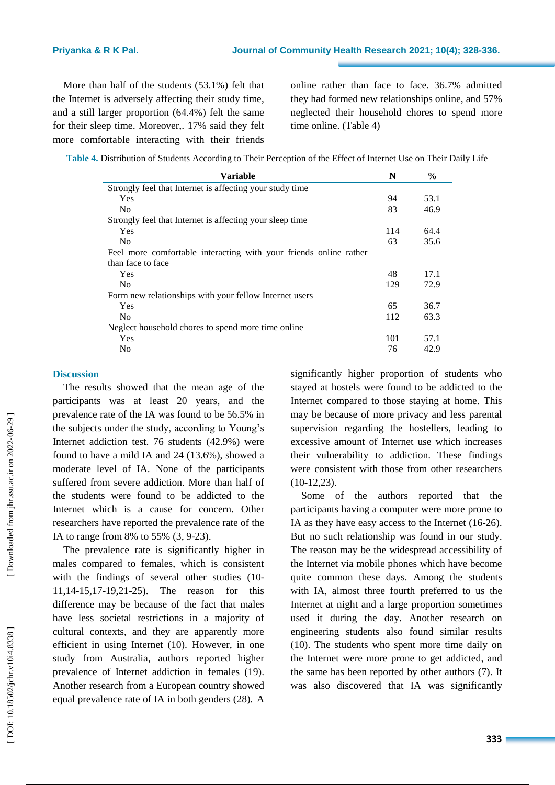More than half of the students (53.1%) felt that the Internet is adversely affecting their study time , and a still larger proportion (64.4%) felt the same for their sleep time . Moreover,. 17% said they felt more comfortable interacting with their friends

online rather than face to face. 36.7% admitted they had formed new relationships online , and 57% neglected their household chores to spend more time online. (Table 4)

| <b>Variable</b>                                                   | N   | $\%$ |
|-------------------------------------------------------------------|-----|------|
| Strongly feel that Internet is affecting your study time          |     |      |
| <b>Yes</b>                                                        | 94  | 53.1 |
| N <sub>0</sub>                                                    | 83  | 46.9 |
| Strongly feel that Internet is affecting your sleep time          |     |      |
| Yes                                                               | 114 | 64.4 |
| N <sub>0</sub>                                                    | 63  | 35.6 |
| Feel more comfortable interacting with your friends online rather |     |      |
| than face to face                                                 |     |      |
| <b>Yes</b>                                                        | 48  | 17.1 |
| N <sub>0</sub>                                                    | 129 | 72.9 |
| Form new relationships with your fellow Internet users            |     |      |
| <b>Yes</b>                                                        | 65  | 36.7 |
| N <sub>0</sub>                                                    | 112 | 63.3 |
| Neglect household chores to spend more time online                |     |      |
| <b>Yes</b>                                                        | 101 | 57.1 |
| No                                                                | 76  | 42.9 |

#### **Discussion**

The results showed that the mean age of the participants was at least 20 years, and the prevalence rate of the IA was found to be 56.5% in the subjects under the study, according to Young's Internet addiction test. 76 students (42.9%) were found to have a mild IA and 24 (13.6%) , showed a moderate level of IA. None of the participants suffered from severe addiction. More than half of the students were found to be addicted to the Internet which is a cause for concern. Other researchers have reported the prevalence rate of the IA to range from 8% to 55% (3, 9-23).

The prevalence rate is significantly higher in males compared to females, which is consistent with the findings of several other studies (10-11 ,14 -15,17 -19,21 -25 ) . The reason for this difference may be because of the fact that males have less societal restrictions in a majority of cultural contexts , and they are apparently more efficient in using Internet (10). However, in one study from Australia, authors reported higher prevalence of Internet addiction in females (19). Another research from a European country showed equal prevalence rate of IA in both genders (28). A

significantly higher proportion of students who stayed at hostel s were found to be addicted to the Internet compared to those staying at home. This may be because of more privacy and less parental supervision regarding the hostellers, leading to excessive amount of Internet use which increases their vulnerability to addiction. These findings were consistent with those from other researchers (10 -12,23).

Some of the authors reported that the participants having a computer were more prone to IA as they have easy access to the Internet (16-26). But no such relationship was found in our study. The reason may be the widespread accessibility of the Internet via mobile phones which have become quite common these days. Among the students with IA , almost three fourth preferred to us the Internet at night and a large proportion sometimes used it during the day. Another research on engineering students also found similar results (10). The students who spent more time daily on the Internet were more prone to get addicted , and the same has been reported by other authors (7). It was also discovered that IA was significantly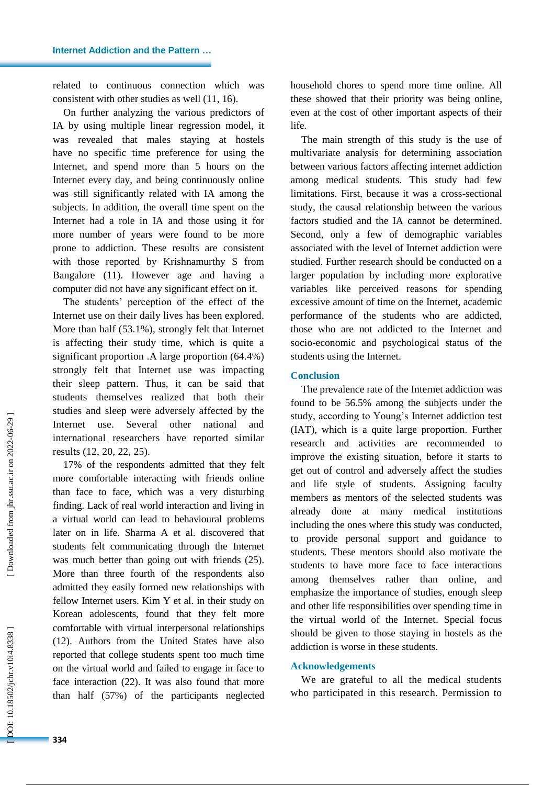related to continuous connection which was consistent with other studies as well (11, 16).

On further analyzing the various predictors of IA by using multiple linear regression model, it was revealed that male s staying at hostel s have no specific time preference for using the Internet, and spend more than 5 hours on the Internet every day, and being continuously online was still significantly related with IA among the subjects. In addition, the overa ll time spent on the Internet had a role in IA and those using it for more number of years were found to be more prone to addiction. These results are consistent with those reported by Krishnamurthy S from Bangalore (11). However age and having a computer did not have any significant effect on it.

The students' perception of the effect of the Internet use on their daily lives has been explored. More than half (53.1%) , strongly felt that Internet is affecting their study time, which is quite a significant proportion .A large proportion (64.4%) strongly felt that Internet use was impacting their sleep pattern. Thus, it can be said that students themselves realize d that both their studies and sleep were adversely affected by the Internet use. Several other national and international researchers have reported similar results (12, 20, 22, 25).

17% of the respondents admitted that they felt more comfortable interacting with friends online than face to face, which was a very disturbing finding. Lack of real world interaction and living in a virtual world can lead to behavioural problems later on in life. Sharma A et al . discovered that students felt communicating through the Internet was much better than going out with friends  $(25)$ . More than three fourth of the respondents also admitted they easily formed new relationships with fellow Internet users. Kim Y et al. in their study on Korean adolescents , found that they felt more comfortable with virtua l interpersonal relationships (12). Authors from the United States have also reported that college students spent too much time on the virtual world and failed to engage in face to face interaction (22). It was also found that more than half (57%) of the participants neglected

household chores to spend more time online. All these showed that their priority was being online , even at the cost of other important aspects of their life.

The main strength of this study is the use of multivariate analysis for determining association between various factors affecting internet addiction among medical students. This study had few limitations. First, because it was a cross -sectional study, the causal relationship between the various factors studied and the IA cannot be determined. Second, only a few of demographic variables associated with the level of Internet addiction were studied. Further research should be conducted on a larger population by including more explorative variables like perceived reasons for spending excessive amount of time on the Internet, academic performance of the students who are addicted, those who are not addicted to the Internet and socio -economic and psychological status of the students using the Internet.

## **Conclusion**

The prevalence rate of the Internet addiction was found to be 56.5% among the subjects under the study, according to Young's Internet addiction test (IAT), which is a quite large proportion. Further research and activities are recommended to improve the existing situation, before it starts to get out of control and adversely affect th e studies and life style of students. Assigning faculty members as mentors of the selected students was already done at many medical institutions including the one s where this study was conducted , to provide personal support and guidance to students. These mentors should also motivate the students to have more face to face interactions among themselves rather than online, and emphasize the importance of studies, enough sleep and other life responsibilities over spending time in the virtual world of the Internet . Special focus should be given to those staying in hostel s as the addiction is worse in these students.

#### **Acknowledgements**

We are grateful to all the medical students who participated in this research. Permission to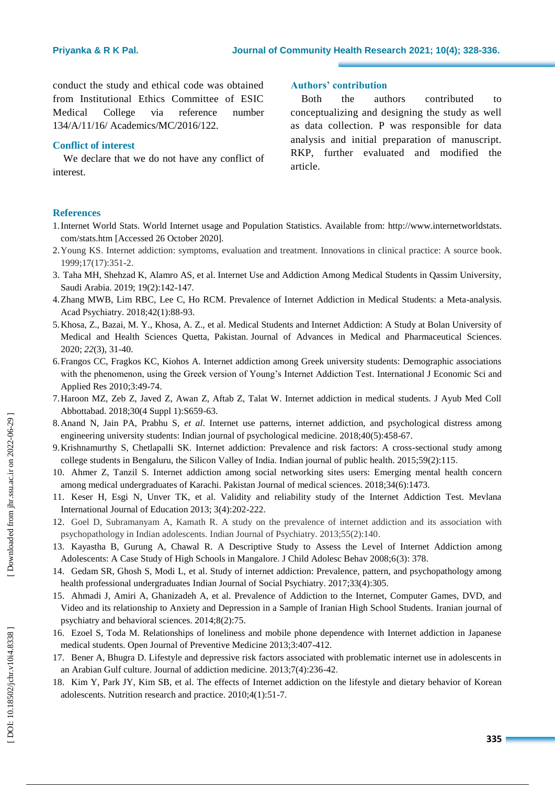conduct the study and ethical code was obtained from Institutional Ethics Committee of ESIC Medical College via reference number 134/A/11/16/ Academics/MC/2016/122.

## **Conflict of interest**

We declare that we do not have any conflict of interest.

## **Authors' contribution**

Both the authors contributed to conceptualizing and designing the study as well as data collection. P was responsible for data analysis and initial preparation of manuscript. RKP, further evaluated and modified the article.

## **References**

- 1.Internet World Stats. World Internet usage and Population Statistics. Available from: http://www.internetworldstats . com/stats.htm [Accessed 26 October 2020].
- 2 .Young KS. Internet addiction: symptoms, evaluation and treatment. Innovations in clinical practice: A source book. 1999;17(17):351 -2.
- 3 . Taha MH, Shehzad K, Alamro AS , et al. Internet Use and Addiction Among Medical Students in Qassim University, Saudi Arabia. 2019; 19(2):142 -147.
- 4 .Zhang MWB, Lim RBC, Lee C, Ho RCM. Prevalence of Internet Addiction in Medical Students: a Meta -analysis. Acad Psychiatry. 2018;42(1):88 -93.
- 5 .Khosa, Z., Bazai, M. Y., Khosa, A. Z., et al. Medical Students and Internet Addiction: A Study at Bolan University of Medical and Health Sciences Quetta, Pakistan. Journal of Advances in Medical and Pharmaceutical Sciences. 2020; *22*(3), 31 -40.
- 6 .Frangos CC, Fragkos KC, Kiohos A. Internet addiction among Greek university students: Demographic associations with the phenomenon, using the Greek version of Young's Internet Addiction Test. International J Economic Sci and Applied Res 2010;3:49 -74.
- 7 .Haroon MZ, Zeb Z, Javed Z, Awan Z, Aftab Z, Talat W. Internet addiction in medical students. J Ayub Med Coll Abbottabad. 2018;30(4 Suppl 1):S659 -63.
- 8 .Anand N, Jain PA, Prabhu S, *et al*. Internet use patterns, internet addiction, and psychological distress among engineering university students: Indian journal of psychological medicine. 2018;40(5):458-67.
- 9 .Krishnamurthy S, Chetlapalli SK. Internet addiction: Prevalence and risk factors: A cross -sectional study among college students in Bengaluru, the Silicon Valley of India. Indian journal of public health. 2015;59(2):115 .
- 10 . Ahmer Z, Tanzil S. Internet addiction among social networking sites users: Emerging mental health concern among medical undergraduates of Karachi. Pakistan Journal of medical sciences. 2018;34(6):1473.
- 11 . Keser H, Esgi N, Unver TK, et al. Validity and reliability study of the Internet Addiction Test. Mevlana International Journal of Education 2013; 3(4):202 -222.
- 12 . Goel D, Subramanyam A, Kamath R. A study on the prevalence of internet addiction and its association with psychopathology in Indian adolescents. Indian Journal of Psychiatry. 2013;55(2):140 .
- 13 . Kayastha B, Gurung A, Chawal R. A Descriptive Study to Assess the Level of Internet Addiction among Adolescents: A Case Study of High Schools in Mangalore. J Child Adolesc Behav 2008;6(3): 378.
- 14 . Gedam SR, Ghosh S, Modi L, et al. Study of internet addiction: Prevalence, pattern, and psychopathology among health professional undergraduates Indian Journal of Social Psychiatry. 2017;33(4):305.
- 15 . Ahmadi J, Amiri A, Ghanizadeh A, et al. Prevalence of Addiction to the Internet, Computer Games, DVD, and Video and its relationship to Anxiety and Depression in a Sample of Iranian High School Students. Iranian journal of psychiatry and behavioral sciences. 2014;8(2):75.
- 16 . Ezoel S, Toda M. Relationships of loneliness and mobile phone dependence with Internet addiction in Japanese medical students. Open Journal of Preventive Medicine 2013;3:407 -412.
- 17 . Bener A, Bhugra D. Lifestyle and depressive risk factors associated with problematic internet use in adolescents in an Arabian Gulf culture . Journal of addiction medicine. 2013;7(4):236 -42 .
- 18 . Kim Y, Park JY, Kim SB, et al. The effects of Internet addiction on the lifestyle and dietary behavior of Korean adolescents. Nutrition research and practice. 2010;4(1):51 -7.